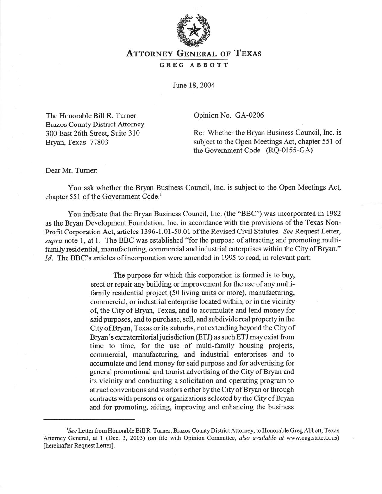

## ATTORNEY GENERAL OF TEXAS

## **GREG ABBOTT**

June 18,2004

The Honorable Bill R. Turner Brazos County District Attorney *300* East 26th Street, Suite 3 10 Bryan, Texas 77803

Opinion No. GA-0206

Re: Whether the Bryan Business Council, Inc. is subject to the Open Meetings Act, chapter 551 of the Government Code  $(RQ-0155-GA)$ 

Dear Mr. Turner:

You ask whether the Bryan Business Council, Inc. is subject to the Open Meetings Act, chapter 551 of the Government Code.<sup>1</sup>

You indicate that the Bryan Business Council, Inc. (the "BBC") was incorporated in 1982 as the Bryan Development Foundation, Inc. in accordance with the provisions of the Texas Non-Profit Corporation Act, articles 1396-1.01-50.01 of the Revised Civil Statutes. See Request Letter, *supra* note 1, at 1. The BBC was established "for the purpose of attracting and promoting multifamily residential, manufacturing, commercial and industrial enterprises within the City of Bryan." *Id.* The BBC's articles of incorporation were amended in 1995 to read, in relevant part:

> The purpose for which this corporation is formed is to buy, erect or repair any building or improvement for the use of any multifamily residential project (50 living units or more), manufacturing, commercial, or industrial enterprise located within, or in the vicinity of, the City of Bryan, Texas, and to accumulate and lend money for said purposes, and to purchase, sell, and subdivide real property in the City of Bryan, Texas or its suburbs, not extending beyond the City of Bryan's extraterritorial jurisdiction (ETJ) as such ETJ may exist from time to time, for the use of multi-family housing projects, commercial, manufacturing, and industrial enterprises and to accumulate and lend money for said purpose and for advertising for general promotional and tourist advertising of the City of Bryan and its vicinity and conducting a solicitation and operating program to attract conventions and visitors either by the City of Bryan or through contracts with persons or organizations selected by the City of Bryan and for promoting, aiding, improving and enhancing the business

<sup>&#</sup>x27;See Letter from Honorable Bill R. Turner, Brazos County District Attorney, to Honorable Greg Abbott, Texas Attorney General, at 1 (Dec. 3, 2003) (on file with Opinion Committee, *also available at* www.oag.state.tx.us) [hereinafter Request Letter].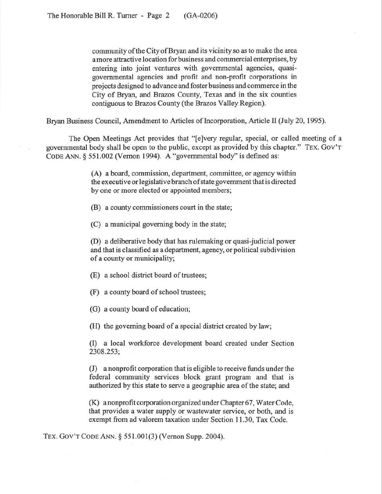community of the City of Bryan and its vicinity so as to make the area a more attractive location for business and commercial enterprises, by entering into joint ventures with governmental agencies, quasigovernmental agencies and profit and non-profit corporations in projects designed to advance and foster business and commerce in the City of Bryan, and Brazos County, Texas and in the six counties contiguous to Brazos County (the Brazos Valley Region).

Bryan Business Council, Amendment to Articles of Incorporation, Article II (July 20, 1995).

The Open Meetings Act provides that "[elvery regular, special, or called meeting of a governmental body shall be open to the public, except as provided by this chapter." **TEX. GOV'T CODE** ANN. 5 55 1.002 (Vernon 1994). A "governmental body" is defined as:

> (A) a board, commission, department, committee, or agency within the executive or legislative branch of state government that is directed by one or more elected or appointed members;

(B) a county commissioners court in the state;

(C) a municipal governing body in the state;

(D) a deliberative body that has rulemaking or quasi-judicial power and that is classified as a department, agency, or political subdivision of a county or municipality;

(E) a school district board of trustees;

(F) a county board of school trustees;

(G) a county board of education;

(H) the governing board of a special district created by law;

(I) a local workforce development board created under Section 2308.253;

(J) a nonprofit corporation that is eligible to receive funds under the federal community services block grant program and that is authorized by this state to serve a geographic area of the state; and

(K) anonprofit corporation organized under Chapter 67, Water Code, that provides a water supply or wastewater service, or both, and is exempt from ad valorem taxation under Section 11.30, Tax Code.

**TEX. GOV'T CODE** ANN. \$551.001(3) (Vernon Supp. 2004).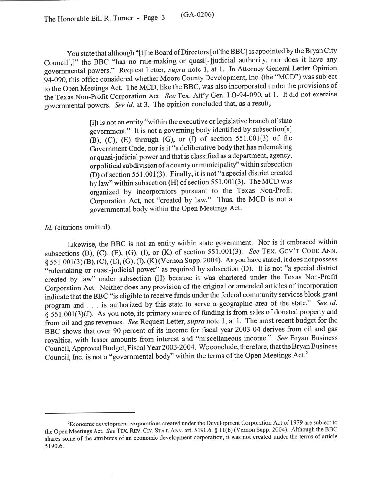You state that although "[t]he Board of Directors [of the BBC] is appointed by the Bryan City Council[,]" the BBC "has no rule-making or quasi[-ljudicial authority, nor does it have any governmental powers." Request Letter, *supra* note 1, at 1. In Attorney General Letter Opinion 94-090, this office considered whether Moore County Development, Inc. (the "MCD") was subject to the Open Meetings Act. The MCD, like the BBC, was also incorporated under the provisions of the Texas Non-Profit Corporation Act. See Tex. Att'y Gen. LO-94-090, at 1. It did not exercise governmental powers. See *id.* at 3. The opinion concluded that, as a result,

> [i]t is not an entity "within the executive or legislative branch of state government." It is not a governing body identified by subsection[s]  $(B)$ ,  $(C)$ ,  $(E)$  through  $(G)$ , or  $(I)$  of section 551.001 $(3)$  of the Government Code, nor is it "a deliberative body that has rulemaking or quasi-judicial power and that is classified as a department, agency, or political subdivision of a county or municipality" within subsection (D) of section 551.001(3). Finally, it is not "a special district created by law" within subsection (H) of section 551.001(3). The MCD was organized by incorporators pursuant to the Texas Non-Profit Corporation Act, not "created by law." Thus, the MCD is not a governmental body within the Open Meetings Act.

## Id. (citations omitted).

Likewise, the BBC is not an entity within state government. Nor is it embraced within subsections (B), (C), (E), (G), (I), or (K) of section 551.001(3). See TEX. GOV'T CODE ANN.  $\S 551.001(3)(B)$ , (C), (E), (G), (I), (K) (Vernon Supp. 2004). As you have stated, it does not possess "rulemaking or quasi-judicial power" as required by subsection (D). It is not "a special district created by law" under subsection (H) because it was chartered under the Texas Non-Profit Corporation Act. Neither does any provision of the original or amended articles of incorporation indicate that the BBC "is eligible to receive funds under the federal community services block grant program and . . . is authorized by this state to serve a geographic area of the state." See *id.*   $§$  551.001(3)(J). As you note, its primary source of funding is from sales of donated property and from oil and gas revenues. See Request Letter, *supra* note 1, at 1. The most recent budget for the BBC shows that over 90 percent of its income for fiscal year 2003-04 derives from oil and gas royalties, with lesser amounts from interest and "miscellaneous income." See Bryan Business Council, Approved Budget, Fiscal Year2003-2004. We conclude, therefore, that the Bryan Business Council, Inc. is not a "governmental body" within the terms of the Open Meetings Act.\*

<sup>&#</sup>x27;Economic development corporations created under the Development Corporation Act of 1979 are subject to the Open Meetings Act. See TEX. REV. CIV. STAT. ANN. art. 5190.6, § 11(b) (Vernon Supp. 2004). Although the BBC shares some of the attributes of an economic development corporation, it was not created under the terms of article 5 190.6.